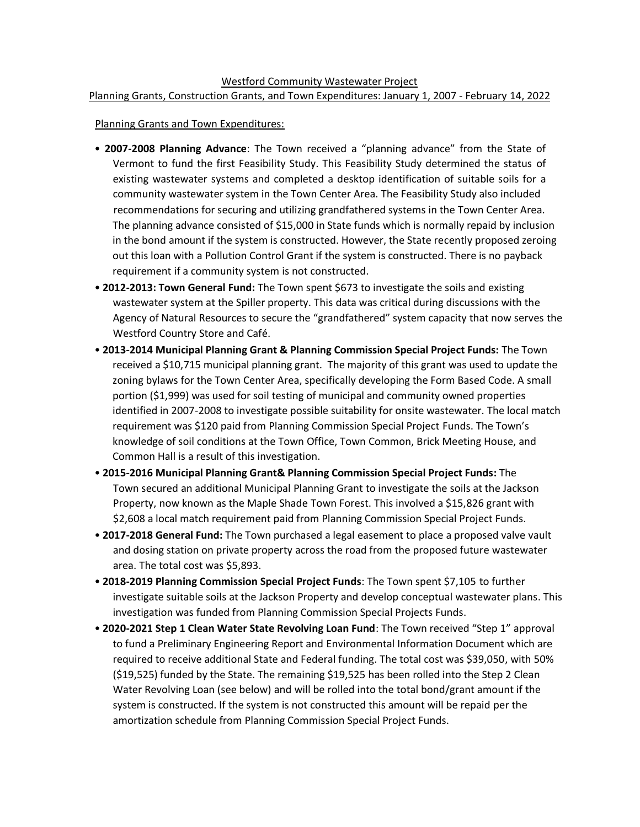## Westford Community Wastewater Project Planning Grants, Construction Grants, and Town Expenditures: January 1, 2007 - February 14, 2022

## Planning Grants and Town Expenditures:

- **2007-2008 Planning Advance**: The Town received a "planning advance" from the State of Vermont to fund the first Feasibility Study. This Feasibility Study determined the status of existing wastewater systems and completed a desktop identification of suitable soils for a community wastewater system in the Town Center Area. The Feasibility Study also included recommendations for securing and utilizing grandfathered systems in the Town Center Area. The planning advance consisted of \$15,000 in State funds which is normally repaid by inclusion in the bond amount if the system is constructed. However, the State recently proposed zeroing out this loan with a Pollution Control Grant if the system is constructed. There is no payback requirement if a community system is not constructed.
- **2012-2013: Town General Fund:** The Town spent \$673 to investigate the soils and existing wastewater system at the Spiller property. This data was critical during discussions with the Agency of Natural Resources to secure the "grandfathered" system capacity that now serves the Westford Country Store and Café.
- **2013-2014 Municipal Planning Grant & Planning Commission Special Project Funds:** The Town received a \$10,715 municipal planning grant. The majority of this grant was used to update the zoning bylaws for the Town Center Area, specifically developing the Form Based Code. A small portion (\$1,999) was used for soil testing of municipal and community owned properties identified in 2007-2008 to investigate possible suitability for onsite wastewater. The local match requirement was \$120 paid from Planning Commission Special Project Funds. The Town's knowledge of soil conditions at the Town Office, Town Common, Brick Meeting House, and Common Hall is a result of this investigation.
- **2015-2016 Municipal Planning Grant& Planning Commission Special Project Funds:** The Town secured an additional Municipal Planning Grant to investigate the soils at the Jackson Property, now known as the Maple Shade Town Forest. This involved a \$15,826 grant with \$2,608 a local match requirement paid from Planning Commission Special Project Funds.
- **2017-2018 General Fund:** The Town purchased a legal easement to place a proposed valve vault and dosing station on private property across the road from the proposed future wastewater area. The total cost was \$5,893.
- **2018-2019 Planning Commission Special Project Funds**: The Town spent \$7,105 to further investigate suitable soils at the Jackson Property and develop conceptual wastewater plans. This investigation was funded from Planning Commission Special Projects Funds.
- **2020-2021 Step 1 Clean Water State Revolving Loan Fund**: The Town received "Step 1" approval to fund a Preliminary Engineering Report and Environmental Information Document which are required to receive additional State and Federal funding. The total cost was \$39,050, with 50% (\$19,525) funded by the State. The remaining \$19,525 has been rolled into the Step 2 Clean Water Revolving Loan (see below) and will be rolled into the total bond/grant amount if the system is constructed. If the system is not constructed this amount will be repaid per the amortization schedule from Planning Commission Special Project Funds.